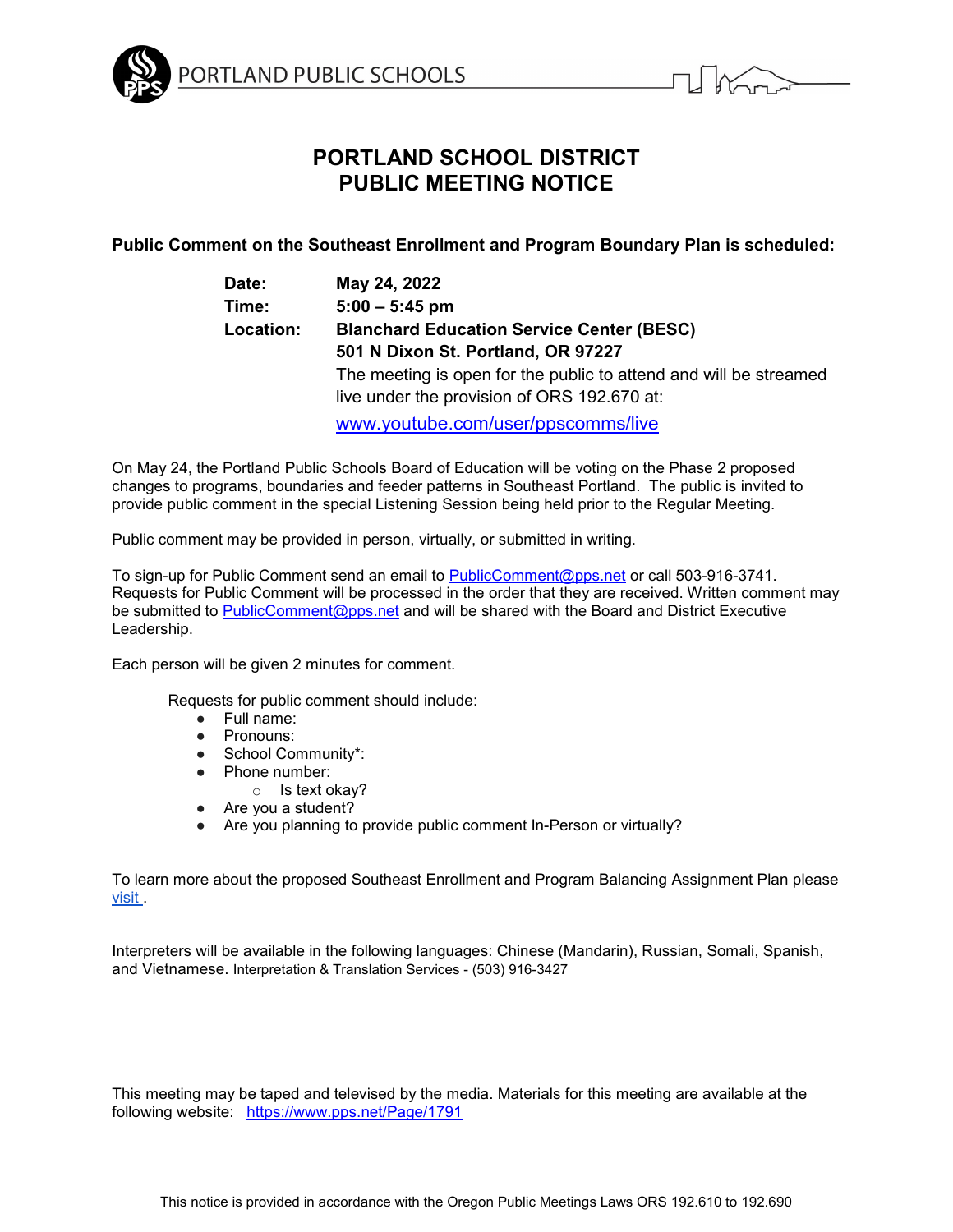



# **PORTLAND SCHOOL DISTRICT PUBLIC MEETING NOTICE**

**Public Comment on the Southeast Enrollment and Program Boundary Plan is scheduled:**

| Date:            | May 24, 2022                                                      |
|------------------|-------------------------------------------------------------------|
| Time:            | $5:00 - 5:45$ pm                                                  |
| <b>Location:</b> | <b>Blanchard Education Service Center (BESC)</b>                  |
|                  | 501 N Dixon St. Portland, OR 97227                                |
|                  | The meeting is open for the public to attend and will be streamed |
|                  | live under the provision of ORS 192.670 at:                       |
|                  | www.youtube.com/user/ppscomms/live                                |

On May 24, the Portland Public Schools Board of Education will be voting on the Phase 2 proposed changes to programs, boundaries and feeder patterns in Southeast Portland. The public is invited to provide public comment in the special Listening Session being held prior to the Regular Meeting.

Public comment may be provided in person, virtually, or submitted in writing.

To sign-up for Public Comment send an email to [PublicComment@pps.net](mailto:PublicComment@pps.net) or call 503-916-3741. Requests for Public Comment will be processed in the order that they are received. Written comment may be submitted to [PublicComment@pps.net](mailto:PublicComment@pps.net) and will be shared with the Board and District Executive Leadership.

Each person will be given 2 minutes for comment.

Requests for public comment should include:

- Full name:
- Pronouns:
- School Community\*:
- Phone number:
	- o Is text okay?
- Are you a student?
- Are you planning to provide public comment In-Person or virtually?

To learn more about the proposed Southeast Enrollment and Program Balancing Assignment Plan please [visit .](https://www.pps.net/Page/19051)

Interpreters will be available in the following languages: Chinese (Mandarin), Russian, Somali, Spanish, and Vietnamese. Interpretation & Translation Services - (503) 916-3427

This meeting may be taped and televised by the media. Materials for this meeting are available at the following website: <https://www.pps.net/Page/1791>